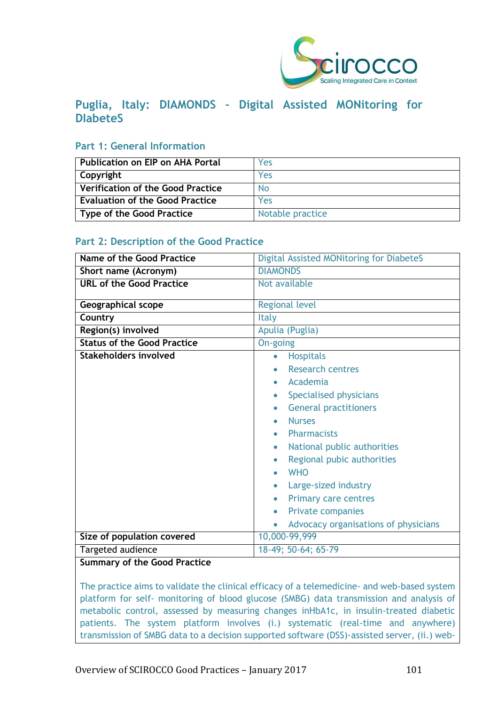

# **Puglia, Italy: DIAMONDS – Digital Assisted MONitoring for DIabeteS**

### **Part 1: General Information**

| <b>Publication on EIP on AHA Portal</b>  | Yes              |
|------------------------------------------|------------------|
| Copyright                                | Yes              |
| <b>Verification of the Good Practice</b> | <b>No</b>        |
| <b>Evaluation of the Good Practice</b>   | Yes              |
| <b>Type of the Good Practice</b>         | Notable practice |

## **Part 2: Description of the Good Practice**

| <b>Name of the Good Practice</b>          | <b>Digital Assisted MONitoring for DiabeteS</b>   |  |
|-------------------------------------------|---------------------------------------------------|--|
| Short name (Acronym)                      | <b>DIAMONDS</b>                                   |  |
| <b>URL of the Good Practice</b>           | Not available                                     |  |
|                                           |                                                   |  |
| Geographical scope                        | <b>Regional level</b>                             |  |
| Country                                   | Italy                                             |  |
| Region(s) involved                        | Apulia (Puglia)                                   |  |
| <b>Status of the Good Practice</b>        | On-going                                          |  |
| <b>Stakeholders involved</b>              | <b>Hospitals</b><br>$\bullet$                     |  |
|                                           | <b>Research centres</b><br>$\bullet$              |  |
|                                           | Academia                                          |  |
|                                           | Specialised physicians<br>$\bullet$               |  |
|                                           | <b>General practitioners</b><br>$\bullet$         |  |
|                                           | <b>Nurses</b><br>$\bullet$                        |  |
|                                           | <b>Pharmacists</b>                                |  |
|                                           | National public authorities<br>$\bullet$          |  |
|                                           | Regional pubic authorities                        |  |
|                                           | <b>WHO</b>                                        |  |
|                                           | Large-sized industry<br>$\bullet$                 |  |
|                                           | <b>Primary care centres</b><br>$\bullet$          |  |
|                                           | Private companies<br>$\bullet$                    |  |
|                                           | Advocacy organisations of physicians<br>$\bullet$ |  |
| Size of population covered                | 10,000-99,999                                     |  |
| Targeted audience                         | 18-49; 50-64; 65-79                               |  |
| $f(t) = f(t)$ and $f(t) = f(t)$<br>$-1.5$ |                                                   |  |

#### **Summary of the Good Practice**

The practice aims to validate the clinical efficacy of a telemedicine- and web-based system platform for self- monitoring of blood glucose (SMBG) data transmission and analysis of metabolic control, assessed by measuring changes inHbA1c, in insulin-treated diabetic patients. The system platform involves (i.) systematic (real-time and anywhere) transmission of SMBG data to a decision supported software (DSS)-assisted server, (ii.) web-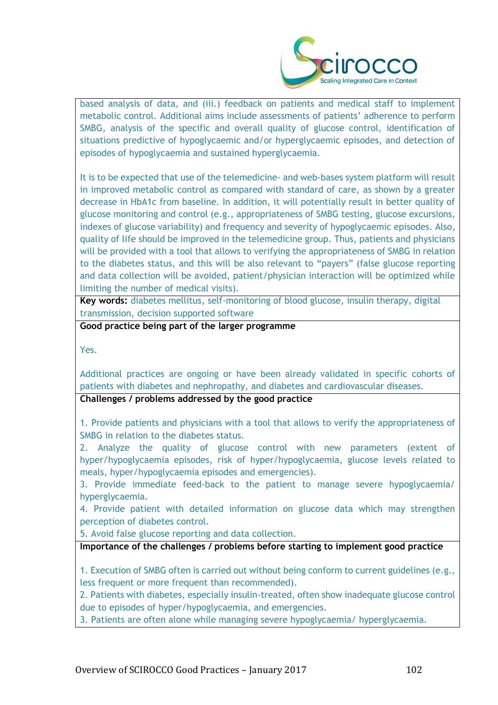

based analysis of data, and (iii.) feedback on patients and medical staff to implement metabolic control. Additional aims include assessments of patients' adherence to perform SMBG, analysis of the specific and overall quality of glucose control, identification of situations predictive of hypoglycaemic and/or hyperglycaemic episodes, and detection of episodes of hypoglycaemia and sustained hyperglycaemia.

It is to be expected that use of the telemedicine- and web-bases system platform will result in improved metabolic control as compared with standard of care, as shown by a greater decrease in HbA1c from baseline. In addition, it will potentially result in better quality of glucose monitoring and control (e.g., appropriateness of SMBG testing, glucose excursions, indexes of glucose variability) and frequency and severity of hypoglycaemic episodes. Also, quality of life should be improved in the telemedicine group. Thus, patients and physicians will be provided with a tool that allows to verifying the appropriateness of SMBG in relation to the diabetes status, and this will be also relevant to "payers" (false glucose reporting and data collection will be avoided, patient/physician interaction will be optimized while limiting the number of medical visits).

**Key words:** diabetes mellitus, self-monitoring of blood glucose, insulin therapy, digital transmission, decision supported software

**Good practice being part of the larger programme**

Yes.

Additional practices are ongoing or have been already validated in specific cohorts of patients with diabetes and nephropathy, and diabetes and cardiovascular diseases.

**Challenges / problems addressed by the good practice**

1. Provide patients and physicians with a tool that allows to verify the appropriateness of SMBG in relation to the diabetes status.

2. Analyze the quality of glucose control with new parameters (extent of hyper/hypoglycaemia episodes, risk of hyper/hypoglycaemia, glucose levels related to meals, hyper/hypoglycaemia episodes and emergencies).

3. Provide immediate feed-back to the patient to manage severe hypoglycaemia/ hyperglycaemia.

4. Provide patient with detailed information on glucose data which may strengthen perception of diabetes control.

5. Avoid false glucose reporting and data collection.

**Importance of the challenges / problems before starting to implement good practice**

1. Execution of SMBG often is carried out without being conform to current guidelines (e.g., less frequent or more frequent than recommended).

2. Patients with diabetes, especially insulin-treated, often show inadequate glucose control due to episodes of hyper/hypoglycaemia, and emergencies.

3. Patients are often alone while managing severe hypoglycaemia/ hyperglycaemia.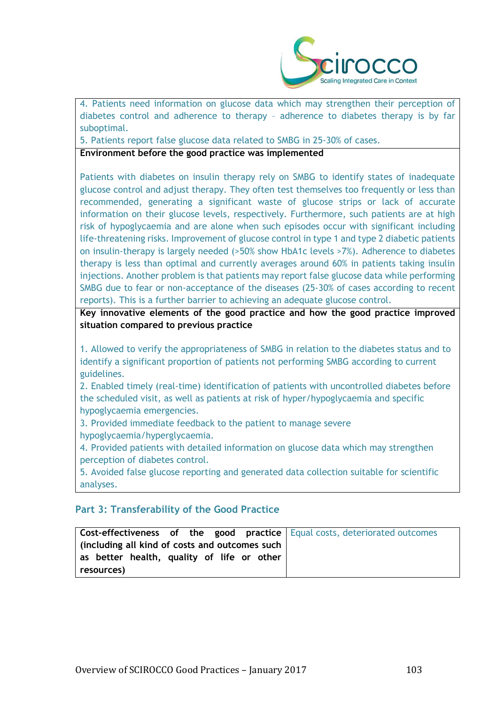

4. Patients need information on glucose data which may strengthen their perception of diabetes control and adherence to therapy – adherence to diabetes therapy is by far suboptimal.

5. Patients report false glucose data related to SMBG in 25-30% of cases.

#### **Environment before the good practice was implemented**

Patients with diabetes on insulin therapy rely on SMBG to identify states of inadequate glucose control and adjust therapy. They often test themselves too frequently or less than recommended, generating a significant waste of glucose strips or lack of accurate information on their glucose levels, respectively. Furthermore, such patients are at high risk of hypoglycaemia and are alone when such episodes occur with significant including life-threatening risks. Improvement of glucose control in type 1 and type 2 diabetic patients on insulin-therapy is largely needed (>50% show HbA1c levels >7%). Adherence to diabetes therapy is less than optimal and currently averages around 60% in patients taking insulin injections. Another problem is that patients may report false glucose data while performing SMBG due to fear or non-acceptance of the diseases (25-30% of cases according to recent reports). This is a further barrier to achieving an adequate glucose control.

**Key innovative elements of the good practice and how the good practice improved situation compared to previous practice**

1. Allowed to verify the appropriateness of SMBG in relation to the diabetes status and to identify a significant proportion of patients not performing SMBG according to current guidelines.

2. Enabled timely (real-time) identification of patients with uncontrolled diabetes before the scheduled visit, as well as patients at risk of hyper/hypoglycaemia and specific hypoglycaemia emergencies.

3. Provided immediate feedback to the patient to manage severe hypoglycaemia/hyperglycaemia.

4. Provided patients with detailed information on glucose data which may strengthen perception of diabetes control.

5. Avoided false glucose reporting and generated data collection suitable for scientific analyses.

## **Part 3: Transferability of the Good Practice**

|                                                |  |  | <b>Cost-effectiveness of the good practice</b> Equal costs, deteriorated outcomes |
|------------------------------------------------|--|--|-----------------------------------------------------------------------------------|
| (including all kind of costs and outcomes such |  |  |                                                                                   |
| as better health, quality of life or other     |  |  |                                                                                   |
| resources)                                     |  |  |                                                                                   |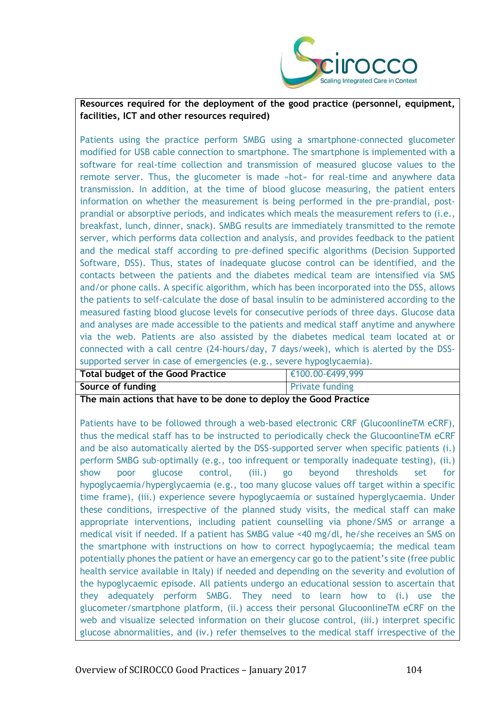

## **Resources required for the deployment of the good practice (personnel, equipment, facilities, ICT and other resources required)**

Patients using the practice perform SMBG using a smartphone-connected glucometer modified for USB cable connection to smartphone. The smartphone is implemented with a software for real-time collection and transmission of measured glucose values to the remote server. Thus, the glucometer is made «hot» for real-time and anywhere data transmission. In addition, at the time of blood glucose measuring, the patient enters information on whether the measurement is being performed in the pre-prandial, postprandial or absorptive periods, and indicates which meals the measurement refers to (i.e., breakfast, lunch, dinner, snack). SMBG results are immediately transmitted to the remote server, which performs data collection and analysis, and provides feedback to the patient and the medical staff according to pre-defined specific algorithms (Decision Supported Software, DSS). Thus, states of inadequate glucose control can be identified, and the contacts between the patients and the diabetes medical team are intensified via SMS and/or phone calls. A specific algorithm, which has been incorporated into the DSS, allows the patients to self-calculate the dose of basal insulin to be administered according to the measured fasting blood glucose levels for consecutive periods of three days. Glucose data and analyses are made accessible to the patients and medical staff anytime and anywhere via the web. Patients are also assisted by the diabetes medical team located at or connected with a call centre (24-hours/day, 7 days/week), which is alerted by the DSSsupported server in case of emergencies (e.g., severe hypoglycaemia).

| <b>Total budget of the Good Practice</b>                                                                   | €100.00-€499,999       |
|------------------------------------------------------------------------------------------------------------|------------------------|
| Source of funding                                                                                          | <b>Private funding</b> |
| . The constant of the state of the state of the state of the following $\theta$ and $\theta$ are stated in |                        |

#### **The main actions that have to be done to deploy the Good Practice**

Patients have to be followed through a web-based electronic CRF (GlucoonlineTM eCRF), thus the medical staff has to be instructed to periodically check the GlucoonlineTM eCRF and be also automatically alerted by the DSS-supported server when specific patients (i.) perform SMBG sub-optimally (e.g., too infrequent or temporally inadequate testing), (ii.) show poor glucose control, (iii.) go beyond thresholds set for hypoglycaemia/hyperglycaemia (e.g., too many glucose values off target within a specific time frame), (iii.) experience severe hypoglycaemia or sustained hyperglycaemia. Under these conditions, irrespective of the planned study visits, the medical staff can make appropriate interventions, including patient counselling via phone/SMS or arrange a medical visit if needed. If a patient has SMBG value <40 mg/dl, he/she receives an SMS on the smartphone with instructions on how to correct hypoglycaemia; the medical team potentially phones the patient or have an emergency car go to the patient's site (free public health service available in Italy) if needed and depending on the severity and evolution of the hypoglycaemic episode. All patients undergo an educational session to ascertain that they adequately perform SMBG. They need to learn how to (i.) use the glucometer/smartphone platform, (ii.) access their personal GlucoonlineTM eCRF on the web and visualize selected information on their glucose control, (iii.) interpret specific glucose abnormalities, and (iv.) refer themselves to the medical staff irrespective of the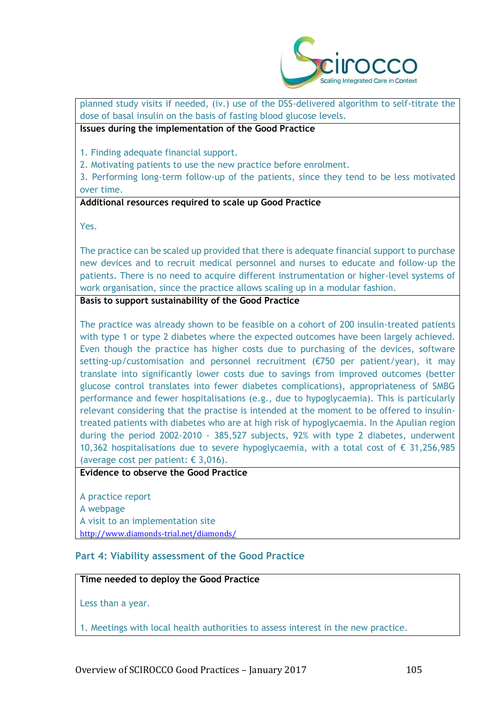

planned study visits if needed, (iv.) use of the DSS-delivered algorithm to self-titrate the dose of basal insulin on the basis of fasting blood glucose levels.

#### **Issues during the implementation of the Good Practice**

1. Finding adequate financial support.

2. Motivating patients to use the new practice before enrolment.

3. Performing long-term follow-up of the patients, since they tend to be less motivated over time.

**Additional resources required to scale up Good Practice**

Yes.

The practice can be scaled up provided that there is adequate financial support to purchase new devices and to recruit medical personnel and nurses to educate and follow-up the patients. There is no need to acquire different instrumentation or higher-level systems of work organisation, since the practice allows scaling up in a modular fashion.

**Basis to support sustainability of the Good Practice**

The practice was already shown to be feasible on a cohort of 200 insulin-treated patients with type 1 or type 2 diabetes where the expected outcomes have been largely achieved. Even though the practice has higher costs due to purchasing of the devices, software setting-up/customisation and personnel recruitment (€750 per patient/year), it may translate into significantly lower costs due to savings from improved outcomes (better glucose control translates into fewer diabetes complications), appropriateness of SMBG performance and fewer hospitalisations (e.g., due to hypoglycaemia). This is particularly relevant considering that the practise is intended at the moment to be offered to insulintreated patients with diabetes who are at high risk of hypoglycaemia. In the Apulian region during the period 2002-2010 - 385,527 subjects, 92% with type 2 diabetes, underwent 10,362 hospitalisations due to severe hypoglycaemia, with a total cost of € 31,256,985 (average cost per patient:  $\epsilon$  3,016).

**Evidence to observe the Good Practice**

A practice report A webpage A visit to an implementation site <http://www.diamonds-trial.net/diamonds/>

## **Part 4: Viability assessment of the Good Practice**

#### **Time needed to deploy the Good Practice**

Less than a year.

1. Meetings with local health authorities to assess interest in the new practice.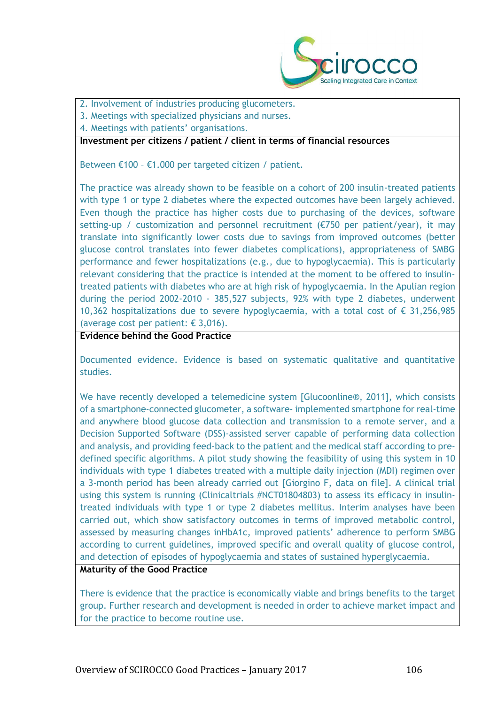

- 2. Involvement of industries producing glucometers.
- 3. Meetings with specialized physicians and nurses.

4. Meetings with patients' organisations.

**Investment per citizens / patient / client in terms of financial resources**

Between €100 – €1.000 per targeted citizen / patient.

The practice was already shown to be feasible on a cohort of 200 insulin-treated patients with type 1 or type 2 diabetes where the expected outcomes have been largely achieved. Even though the practice has higher costs due to purchasing of the devices, software setting-up / customization and personnel recruitment  $(E750$  per patient/year), it may translate into significantly lower costs due to savings from improved outcomes (better glucose control translates into fewer diabetes complications), appropriateness of SMBG performance and fewer hospitalizations (e.g., due to hypoglycaemia). This is particularly relevant considering that the practice is intended at the moment to be offered to insulintreated patients with diabetes who are at high risk of hypoglycaemia. In the Apulian region during the period 2002-2010 - 385,527 subjects, 92% with type 2 diabetes, underwent 10,362 hospitalizations due to severe hypoglycaemia, with a total cost of € 31,256,985 (average cost per patient:  $\epsilon$  3,016).

**Evidence behind the Good Practice**

Documented evidence. Evidence is based on systematic qualitative and quantitative studies.

We have recently developed a telemedicine system [Glucoonline®, 2011], which consists of a smartphone-connected glucometer, a software- implemented smartphone for real-time and anywhere blood glucose data collection and transmission to a remote server, and a Decision Supported Software (DSS)-assisted server capable of performing data collection and analysis, and providing feed-back to the patient and the medical staff according to predefined specific algorithms. A pilot study showing the feasibility of using this system in 10 individuals with type 1 diabetes treated with a multiple daily injection (MDI) regimen over a 3-month period has been already carried out [Giorgino F, data on file]. A clinical trial using this system is running (Clinicaltrials #NCT01804803) to assess its efficacy in insulintreated individuals with type 1 or type 2 diabetes mellitus. Interim analyses have been carried out, which show satisfactory outcomes in terms of improved metabolic control, assessed by measuring changes inHbA1c, improved patients' adherence to perform SMBG according to current guidelines, improved specific and overall quality of glucose control, and detection of episodes of hypoglycaemia and states of sustained hyperglycaemia.

#### **Maturity of the Good Practice**

There is evidence that the practice is economically viable and brings benefits to the target group. Further research and development is needed in order to achieve market impact and for the practice to become routine use.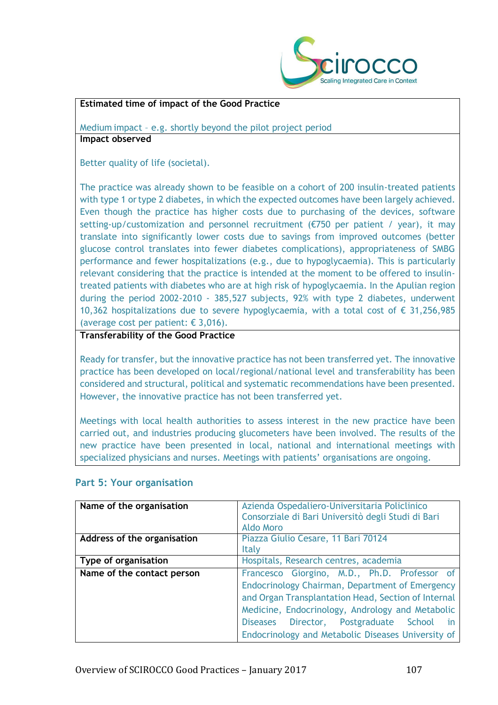

#### **Estimated time of impact of the Good Practice**

Medium impact – e.g. shortly beyond the pilot project period **Impact observed**

Better quality of life (societal).

The practice was already shown to be feasible on a cohort of 200 insulin-treated patients with type 1 or type 2 diabetes, in which the expected outcomes have been largely achieved. Even though the practice has higher costs due to purchasing of the devices, software setting-up/customization and personnel recruitment (€750 per patient / year), it may translate into significantly lower costs due to savings from improved outcomes (better glucose control translates into fewer diabetes complications), appropriateness of SMBG performance and fewer hospitalizations (e.g., due to hypoglycaemia). This is particularly relevant considering that the practice is intended at the moment to be offered to insulintreated patients with diabetes who are at high risk of hypoglycaemia. In the Apulian region during the period 2002-2010 - 385,527 subjects, 92% with type 2 diabetes, underwent 10,362 hospitalizations due to severe hypoglycaemia, with a total cost of € 31,256,985 (average cost per patient:  $\epsilon$  3,016).

**Transferability of the Good Practice**

Ready for transfer, but the innovative practice has not been transferred yet. The innovative practice has been developed on local/regional/national level and transferability has been considered and structural, political and systematic recommendations have been presented. However, the innovative practice has not been transferred yet.

Meetings with local health authorities to assess interest in the new practice have been carried out, and industries producing glucometers have been involved. The results of the new practice have been presented in local, national and international meetings with specialized physicians and nurses. Meetings with patients' organisations are ongoing.

| Name of the organisation    | Azienda Ospedaliero-Universitaria Policlinico<br>Consorziale di Bari Universitò degli Studi di Bari<br><b>Aldo Moro</b>                                                                                                                                                                                          |
|-----------------------------|------------------------------------------------------------------------------------------------------------------------------------------------------------------------------------------------------------------------------------------------------------------------------------------------------------------|
| Address of the organisation | Piazza Giulio Cesare, 11 Bari 70124<br><b>Italy</b>                                                                                                                                                                                                                                                              |
| Type of organisation        | Hospitals, Research centres, academia                                                                                                                                                                                                                                                                            |
| Name of the contact person  | Francesco Giorgino, M.D., Ph.D. Professor of<br>Endocrinology Chairman, Department of Emergency<br>and Organ Transplantation Head, Section of Internal<br>Medicine, Endocrinology, Andrology and Metabolic<br>Diseases Director, Postgraduate School<br>in<br>Endocrinology and Metabolic Diseases University of |

## **Part 5: Your organisation**